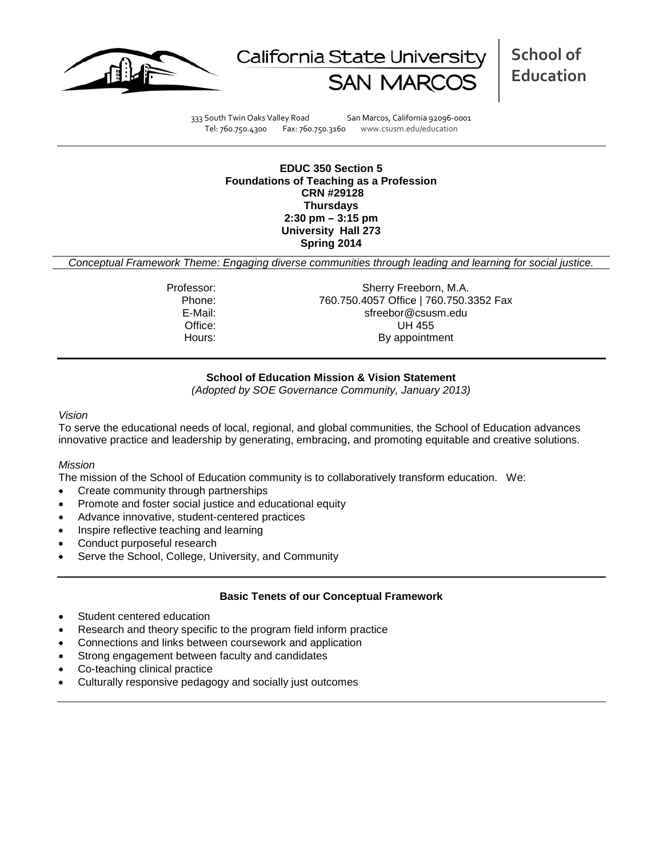



**School of Education**

333 South Twin Oaks Valley Road San Marcos, California 92096-0001 Tel: 760.750.4300 Fax: 760.750.3160 www.csusm.edu/education

**EDUC 350 Section 5 Foundations of Teaching as a Profession CRN #29128 Thursdays 2:30 pm – 3:15 pm University Hall 273 Spring 2014** 

*Conceptual Framework Theme: Engaging diverse communities through leading and learning for social justice.*

Professor: Sherry Freeborn, M.A. Phone: 760.750.4057 Office | 760.750.3352 Fax<br>E-Mail: sfreebor@csusm.edu sfreebor@csusm.edu Office: UH 455 Hours: By appointment

## **School of Education Mission & Vision Statement**

*(Adopted by SOE Governance Community, January 2013)*

#### *Vision*

To serve the educational needs of local, regional, and global communities, the School of Education advances innovative practice and leadership by generating, embracing, and promoting equitable and creative solutions.

## *Mission*

The mission of the School of Education community is to collaboratively transform education. We:

- Create community through partnerships
- Promote and foster social justice and educational equity
- Advance innovative, student-centered practices
- Inspire reflective teaching and learning
- Conduct purposeful research
- Serve the School, College, University, and Community

### **Basic Tenets of our Conceptual Framework**

- Student centered education
- Research and theory specific to the program field inform practice
- Connections and links between coursework and application
- Strong engagement between faculty and candidates
- Co-teaching clinical practice
- Culturally responsive pedagogy and socially just outcomes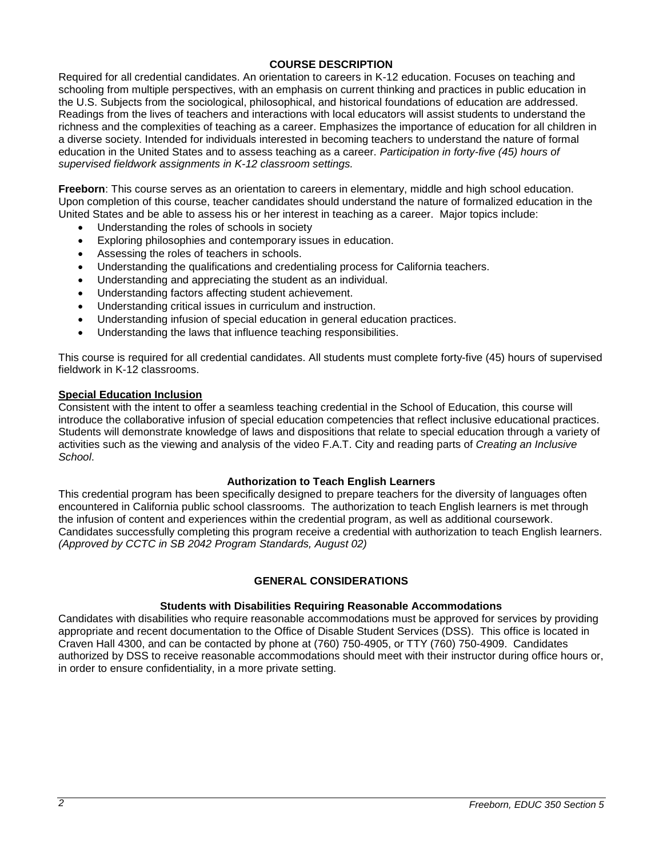# **COURSE DESCRIPTION**

Required for all credential candidates. An orientation to careers in K-12 education. Focuses on teaching and schooling from multiple perspectives, with an emphasis on current thinking and practices in public education in the U.S. Subjects from the sociological, philosophical, and historical foundations of education are addressed. Readings from the lives of teachers and interactions with local educators will assist students to understand the richness and the complexities of teaching as a career. Emphasizes the importance of education for all children in a diverse society. Intended for individuals interested in becoming teachers to understand the nature of formal education in the United States and to assess teaching as a career. *Participation in forty-five (45) hours of supervised fieldwork assignments in K-12 classroom settings.*

**Freeborn**: This course serves as an orientation to careers in elementary, middle and high school education. Upon completion of this course, teacher candidates should understand the nature of formalized education in the United States and be able to assess his or her interest in teaching as a career. Major topics include:

- Understanding the roles of schools in society
- Exploring philosophies and contemporary issues in education.
- Assessing the roles of teachers in schools.
- Understanding the qualifications and credentialing process for California teachers.
- Understanding and appreciating the student as an individual.
- Understanding factors affecting student achievement.
- Understanding critical issues in curriculum and instruction.
- Understanding infusion of special education in general education practices.
- Understanding the laws that influence teaching responsibilities.

This course is required for all credential candidates. All students must complete forty-five (45) hours of supervised fieldwork in K-12 classrooms.

# **Special Education Inclusion**

Consistent with the intent to offer a seamless teaching credential in the School of Education, this course will introduce the collaborative infusion of special education competencies that reflect inclusive educational practices. Students will demonstrate knowledge of laws and dispositions that relate to special education through a variety of activities such as the viewing and analysis of the video F.A.T. City and reading parts of *Creating an Inclusive School*.

## **Authorization to Teach English Learners**

This credential program has been specifically designed to prepare teachers for the diversity of languages often encountered in California public school classrooms. The authorization to teach English learners is met through the infusion of content and experiences within the credential program, as well as additional coursework. Candidates successfully completing this program receive a credential with authorization to teach English learners. *(Approved by CCTC in SB 2042 Program Standards, August 02)*

### **GENERAL CONSIDERATIONS**

### **Students with Disabilities Requiring Reasonable Accommodations**

Candidates with disabilities who require reasonable accommodations must be approved for services by providing appropriate and recent documentation to the Office of Disable Student Services (DSS). This office is located in Craven Hall 4300, and can be contacted by phone at (760) 750-4905, or TTY (760) 750-4909. Candidates authorized by DSS to receive reasonable accommodations should meet with their instructor during office hours or, in order to ensure confidentiality, in a more private setting.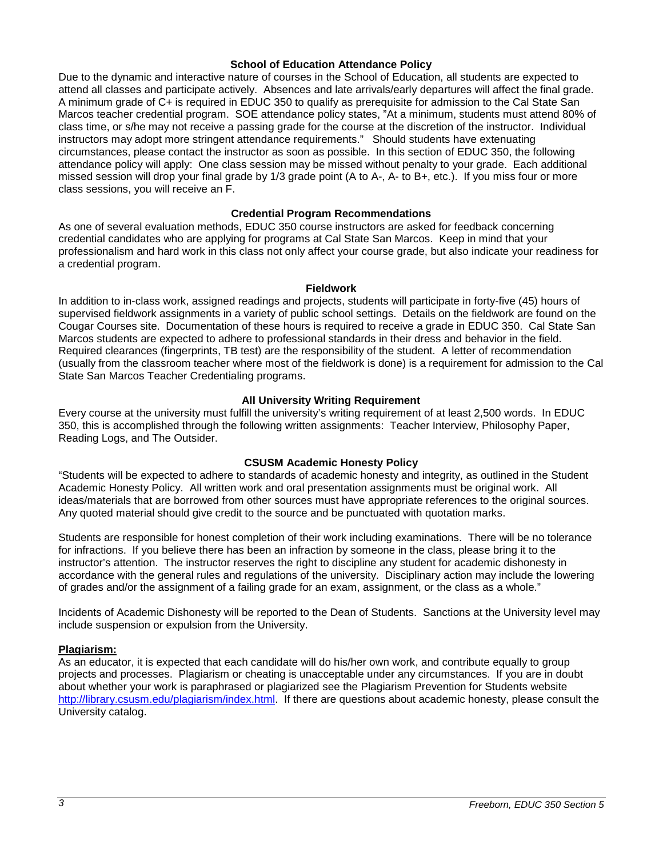#### **School of Education Attendance Policy**

Due to the dynamic and interactive nature of courses in the School of Education, all students are expected to attend all classes and participate actively. Absences and late arrivals/early departures will affect the final grade. A minimum grade of C+ is required in EDUC 350 to qualify as prerequisite for admission to the Cal State San Marcos teacher credential program. SOE attendance policy states, "At a minimum, students must attend 80% of class time, or s/he may not receive a passing grade for the course at the discretion of the instructor. Individual instructors may adopt more stringent attendance requirements." Should students have extenuating circumstances, please contact the instructor as soon as possible. In this section of EDUC 350, the following attendance policy will apply: One class session may be missed without penalty to your grade. Each additional missed session will drop your final grade by 1/3 grade point (A to A-, A- to B+, etc.). If you miss four or more class sessions, you will receive an F.

### **Credential Program Recommendations**

As one of several evaluation methods, EDUC 350 course instructors are asked for feedback concerning credential candidates who are applying for programs at Cal State San Marcos. Keep in mind that your professionalism and hard work in this class not only affect your course grade, but also indicate your readiness for a credential program.

#### **Fieldwork**

In addition to in-class work, assigned readings and projects, students will participate in forty-five (45) hours of supervised fieldwork assignments in a variety of public school settings. Details on the fieldwork are found on the Cougar Courses site. Documentation of these hours is required to receive a grade in EDUC 350. Cal State San Marcos students are expected to adhere to professional standards in their dress and behavior in the field. Required clearances (fingerprints, TB test) are the responsibility of the student. A letter of recommendation (usually from the classroom teacher where most of the fieldwork is done) is a requirement for admission to the Cal State San Marcos Teacher Credentialing programs.

### **All University Writing Requirement**

Every course at the university must fulfill the university's writing requirement of at least 2,500 words. In EDUC 350, this is accomplished through the following written assignments: Teacher Interview, Philosophy Paper, Reading Logs, and The Outsider.

### **CSUSM Academic Honesty Policy**

"Students will be expected to adhere to standards of academic honesty and integrity, as outlined in the Student Academic Honesty Policy. All written work and oral presentation assignments must be original work. All ideas/materials that are borrowed from other sources must have appropriate references to the original sources. Any quoted material should give credit to the source and be punctuated with quotation marks.

Students are responsible for honest completion of their work including examinations. There will be no tolerance for infractions. If you believe there has been an infraction by someone in the class, please bring it to the instructor's attention. The instructor reserves the right to discipline any student for academic dishonesty in accordance with the general rules and regulations of the university. Disciplinary action may include the lowering of grades and/or the assignment of a failing grade for an exam, assignment, or the class as a whole."

Incidents of Academic Dishonesty will be reported to the Dean of Students. Sanctions at the University level may include suspension or expulsion from the University.

### **Plagiarism:**

As an educator, it is expected that each candidate will do his/her own work, and contribute equally to group projects and processes. Plagiarism or cheating is unacceptable under any circumstances. If you are in doubt about whether your work is paraphrased or plagiarized see the Plagiarism Prevention for Students website [http://library.csusm.edu/plagiarism/index.html.](http://library.csusm.edu/plagiarism/index.html) If there are questions about academic honesty, please consult the University catalog.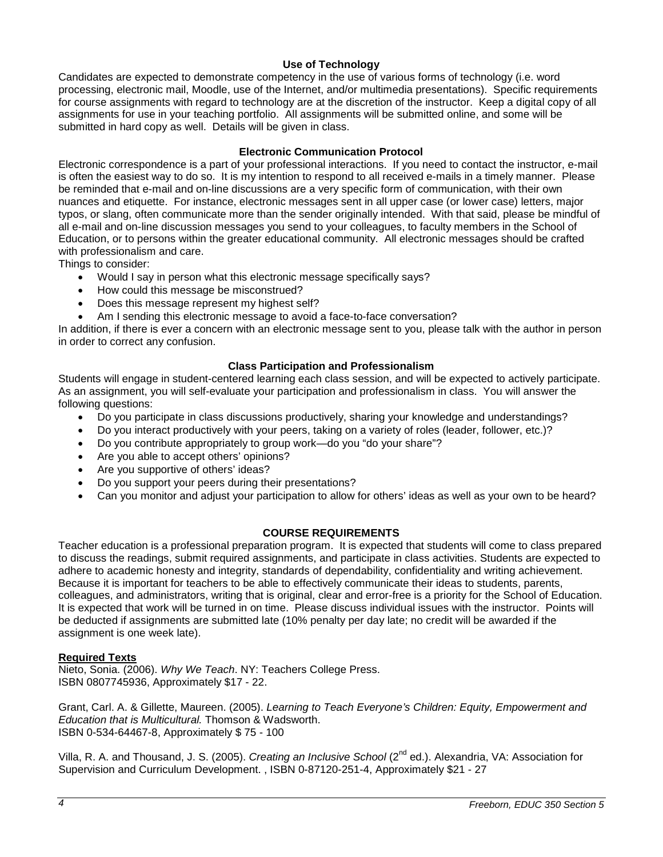# **Use of Technology**

Candidates are expected to demonstrate competency in the use of various forms of technology (i.e. word processing, electronic mail, Moodle, use of the Internet, and/or multimedia presentations). Specific requirements for course assignments with regard to technology are at the discretion of the instructor. Keep a digital copy of all assignments for use in your teaching portfolio. All assignments will be submitted online, and some will be submitted in hard copy as well. Details will be given in class.

# **Electronic Communication Protocol**

Electronic correspondence is a part of your professional interactions. If you need to contact the instructor, e-mail is often the easiest way to do so. It is my intention to respond to all received e-mails in a timely manner. Please be reminded that e-mail and on-line discussions are a very specific form of communication, with their own nuances and etiquette. For instance, electronic messages sent in all upper case (or lower case) letters, major typos, or slang, often communicate more than the sender originally intended. With that said, please be mindful of all e-mail and on-line discussion messages you send to your colleagues, to faculty members in the School of Education, or to persons within the greater educational community. All electronic messages should be crafted with professionalism and care.

Things to consider:

- Would I say in person what this electronic message specifically says?
- How could this message be misconstrued?
- Does this message represent my highest self?
- Am I sending this electronic message to avoid a face-to-face conversation?

In addition, if there is ever a concern with an electronic message sent to you, please talk with the author in person in order to correct any confusion.

# **Class Participation and Professionalism**

Students will engage in student-centered learning each class session, and will be expected to actively participate. As an assignment, you will self-evaluate your participation and professionalism in class. You will answer the following questions:

- Do you participate in class discussions productively, sharing your knowledge and understandings?
- Do you interact productively with your peers, taking on a variety of roles (leader, follower, etc.)?
- Do you contribute appropriately to group work—do you "do your share"?
- Are you able to accept others' opinions?
- Are you supportive of others' ideas?
- Do you support your peers during their presentations?
- Can you monitor and adjust your participation to allow for others' ideas as well as your own to be heard?

# **COURSE REQUIREMENTS**

Teacher education is a professional preparation program. It is expected that students will come to class prepared to discuss the readings, submit required assignments, and participate in class activities. Students are expected to adhere to academic honesty and integrity, standards of dependability, confidentiality and writing achievement. Because it is important for teachers to be able to effectively communicate their ideas to students, parents, colleagues, and administrators, writing that is original, clear and error-free is a priority for the School of Education. It is expected that work will be turned in on time. Please discuss individual issues with the instructor. Points will be deducted if assignments are submitted late (10% penalty per day late; no credit will be awarded if the assignment is one week late).

### **Required Texts**

Nieto, Sonia. (2006). *Why We Teach*. NY: Teachers College Press. ISBN 0807745936, Approximately \$17 - 22.

Grant, Carl. A. & Gillette, Maureen. (2005). *Learning to Teach Everyone's Children: Equity, Empowerment and Education that is Multicultural.* Thomson & Wadsworth. ISBN 0-534-64467-8, Approximately \$ 75 - 100

Villa, R. A. and Thousand, J. S. (2005). *Creating an Inclusive School* (2nd ed.). Alexandria, VA: Association for Supervision and Curriculum Development. , ISBN 0-87120-251-4, Approximately \$21 - 27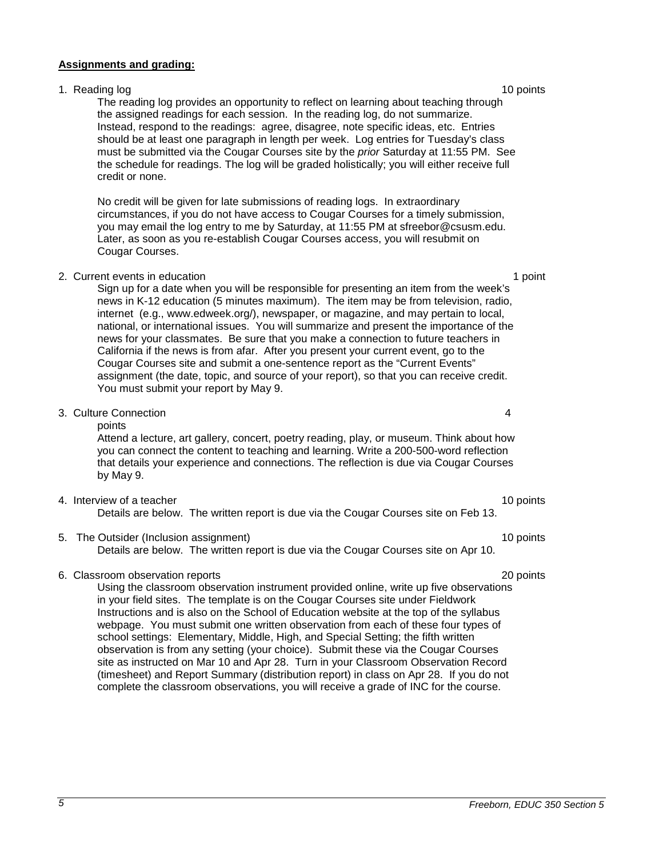#### **Assignments and grading:**

# 1. Reading log 10 points and the set of the set of the set of the set of the set of the set of the set of the set of the set of the set of the set of the set of the set of the set of the set of the set of the set of the se

The reading log provides an opportunity to reflect on learning about teaching through the assigned readings for each session. In the reading log, do not summarize. Instead, respond to the readings: agree, disagree, note specific ideas, etc. Entries should be at least one paragraph in length per week. Log entries for Tuesday's class must be submitted via the Cougar Courses site by the *prior* Saturday at 11:55 PM. See the schedule for readings. The log will be graded holistically; you will either receive full credit or none.

No credit will be given for late submissions of reading logs. In extraordinary circumstances, if you do not have access to Cougar Courses for a timely submission, you may email the log entry to me by Saturday, at 11:55 PM at [sfreebor@csusm.edu.](mailto:mcdaniel@csusm.edu) Later, as soon as you re-establish Cougar Courses access, you will resubmit on Cougar Courses.

#### 2. Current events in education 1 point 1 point 1 point 1 point 1 point 1 point 1 point

Sign up for a date when you will be responsible for presenting an item from the week's news in K-12 education (5 minutes maximum). The item may be from television, radio, internet (e.g., www.edweek.org/), newspaper, or magazine, and may pertain to local, national, or international issues. You will summarize and present the importance of the news for your classmates. Be sure that you make a connection to future teachers in California if the news is from afar. After you present your current event, go to the Cougar Courses site and submit a one-sentence report as the "Current Events" assignment (the date, topic, and source of your report), so that you can receive credit. You must submit your report by May 9.

#### 3. Culture Connection 4

points

Attend a lecture, art gallery, concert, poetry reading, play, or museum. Think about how you can connect the content to teaching and learning. Write a 200-500-word reflection that details your experience and connections. The reflection is due via Cougar Courses by May 9.

## 4. Interview of a teacher 10 points and the set of a teacher 10 points of a teacher 10 points of a teacher 10 points of a teacher 10 points of a teacher 10 points of a teacher 10 points of a teacher 10 points of a teacher

Details are below. The written report is due via the Cougar Courses site on Feb 13.

# 5. The Outsider (Inclusion assignment) 10 points 10 points 10 points

Details are below. The written report is due via the Cougar Courses site on Apr 10.

## 6. Classroom observation reports 20 points

Using the classroom observation instrument provided online, write up five observations in your field sites. The template is on the Cougar Courses site under Fieldwork Instructions and is also on the School of Education website at the top of the syllabus webpage. You must submit one written observation from each of these four types of school settings: Elementary, Middle, High, and Special Setting; the fifth written observation is from any setting (your choice). Submit these via the Cougar Courses site as instructed on Mar 10 and Apr 28. Turn in your Classroom Observation Record (timesheet) and Report Summary (distribution report) in class on Apr 28. If you do not complete the classroom observations, you will receive a grade of INC for the course.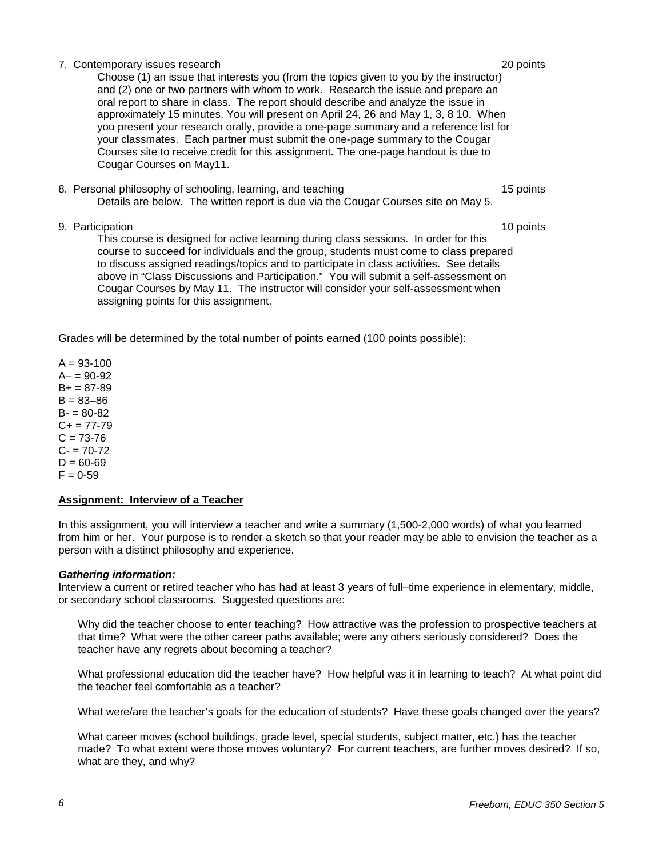## 7. Contemporary issues research 20 points

Choose (1) an issue that interests you (from the topics given to you by the instructor) and (2) one or two partners with whom to work. Research the issue and prepare an oral report to share in class. The report should describe and analyze the issue in approximately 15 minutes. You will present on April 24, 26 and May 1, 3, 8 10. When you present your research orally, provide a one-page summary and a reference list for your classmates. Each partner must submit the one-page summary to the Cougar Courses site to receive credit for this assignment. The one-page handout is due to Cougar Courses on May11.

8. Personal philosophy of schooling, learning, and teaching 15 points 15 points Details are below. The written report is due via the Cougar Courses site on May 5.

# 9. Participation 10 points and the set of the set of the set of the set of the set of the set of the set of the set of the set of the set of the set of the set of the set of the set of the set of the set of the set of the

This course is designed for active learning during class sessions. In order for this course to succeed for individuals and the group, students must come to class prepared to discuss assigned readings/topics and to participate in class activities. See details above in "Class Discussions and Participation." You will submit a self-assessment on Cougar Courses by May 11. The instructor will consider your self-assessment when assigning points for this assignment.

Grades will be determined by the total number of points earned (100 points possible):

 $A = 93 - 100$  $A - 90 - 92$  $B+ = 87-89$  $B = 83 - 86$  $B - 80 - 82$  $C+= 77-79$  $C = 73 - 76$  $C - 70-72$  $D = 60 - 69$  $F = 0.59$ 

# **Assignment: Interview of a Teacher**

In this assignment, you will interview a teacher and write a summary (1,500-2,000 words) of what you learned from him or her. Your purpose is to render a sketch so that your reader may be able to envision the teacher as a person with a distinct philosophy and experience.

### *Gathering information:*

Interview a current or retired teacher who has had at least 3 years of full–time experience in elementary, middle, or secondary school classrooms. Suggested questions are:

Why did the teacher choose to enter teaching? How attractive was the profession to prospective teachers at that time? What were the other career paths available; were any others seriously considered? Does the teacher have any regrets about becoming a teacher?

What professional education did the teacher have? How helpful was it in learning to teach? At what point did the teacher feel comfortable as a teacher?

What were/are the teacher's goals for the education of students? Have these goals changed over the years?

What career moves (school buildings, grade level, special students, subject matter, etc.) has the teacher made? To what extent were those moves voluntary? For current teachers, are further moves desired? If so, what are they, and why?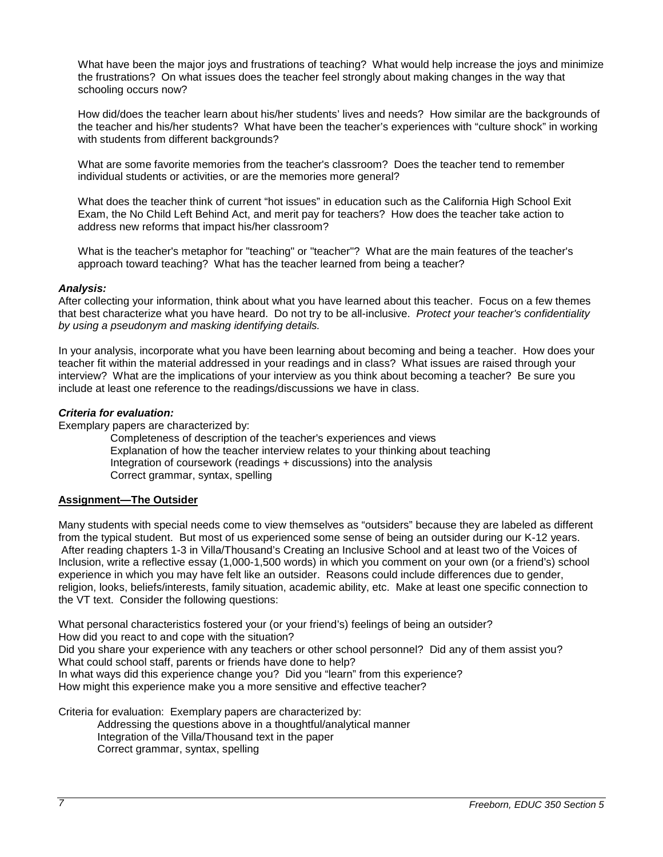What have been the major joys and frustrations of teaching? What would help increase the joys and minimize the frustrations? On what issues does the teacher feel strongly about making changes in the way that schooling occurs now?

How did/does the teacher learn about his/her students' lives and needs? How similar are the backgrounds of the teacher and his/her students? What have been the teacher's experiences with "culture shock" in working with students from different backgrounds?

What are some favorite memories from the teacher's classroom? Does the teacher tend to remember individual students or activities, or are the memories more general?

What does the teacher think of current "hot issues" in education such as the California High School Exit Exam, the No Child Left Behind Act, and merit pay for teachers? How does the teacher take action to address new reforms that impact his/her classroom?

What is the teacher's metaphor for "teaching" or "teacher"? What are the main features of the teacher's approach toward teaching? What has the teacher learned from being a teacher?

### *Analysis:*

After collecting your information, think about what you have learned about this teacher. Focus on a few themes that best characterize what you have heard. Do not try to be all-inclusive. *Protect your teacher's confidentiality by using a pseudonym and masking identifying details.*

In your analysis, incorporate what you have been learning about becoming and being a teacher. How does your teacher fit within the material addressed in your readings and in class? What issues are raised through your interview? What are the implications of your interview as you think about becoming a teacher? Be sure you include at least one reference to the readings/discussions we have in class.

### *Criteria for evaluation:*

Exemplary papers are characterized by:

Completeness of description of the teacher's experiences and views Explanation of how the teacher interview relates to your thinking about teaching Integration of coursework (readings + discussions) into the analysis Correct grammar, syntax, spelling

### **Assignment—The Outsider**

Many students with special needs come to view themselves as "outsiders" because they are labeled as different from the typical student. But most of us experienced some sense of being an outsider during our K-12 years. After reading chapters 1-3 in Villa/Thousand's Creating an Inclusive School and at least two of the Voices of Inclusion, write a reflective essay (1,000-1,500 words) in which you comment on your own (or a friend's) school experience in which you may have felt like an outsider. Reasons could include differences due to gender, religion, looks, beliefs/interests, family situation, academic ability, etc. Make at least one specific connection to the VT text. Consider the following questions:

What personal characteristics fostered your (or your friend's) feelings of being an outsider? How did you react to and cope with the situation? Did you share your experience with any teachers or other school personnel? Did any of them assist you? What could school staff, parents or friends have done to help? In what ways did this experience change you? Did you "learn" from this experience? How might this experience make you a more sensitive and effective teacher?

Criteria for evaluation: Exemplary papers are characterized by:

Addressing the questions above in a thoughtful/analytical manner Integration of the Villa/Thousand text in the paper Correct grammar, syntax, spelling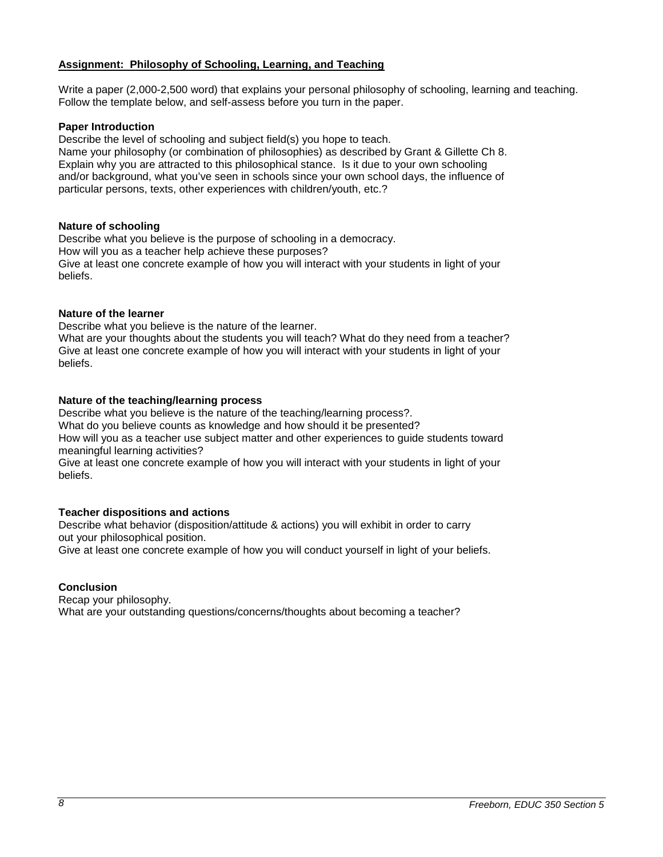## **Assignment: Philosophy of Schooling, Learning, and Teaching**

Write a paper (2,000-2,500 word) that explains your personal philosophy of schooling, learning and teaching. Follow the template below, and self-assess before you turn in the paper.

## **Paper Introduction**

Describe the level of schooling and subject field(s) you hope to teach.

Name your philosophy (or combination of philosophies) as described by Grant & Gillette Ch 8. Explain why you are attracted to this philosophical stance. Is it due to your own schooling and/or background, what you've seen in schools since your own school days, the influence of particular persons, texts, other experiences with children/youth, etc.?

### **Nature of schooling**

Describe what you believe is the purpose of schooling in a democracy. How will you as a teacher help achieve these purposes? Give at least one concrete example of how you will interact with your students in light of your beliefs.

### **Nature of the learner**

Describe what you believe is the nature of the learner.

What are your thoughts about the students you will teach? What do they need from a teacher? Give at least one concrete example of how you will interact with your students in light of your beliefs.

## **Nature of the teaching/learning process**

Describe what you believe is the nature of the teaching/learning process?.

What do you believe counts as knowledge and how should it be presented?

How will you as a teacher use subject matter and other experiences to guide students toward meaningful learning activities?

Give at least one concrete example of how you will interact with your students in light of your beliefs.

# **Teacher dispositions and actions**

Describe what behavior (disposition/attitude & actions) you will exhibit in order to carry out your philosophical position.

Give at least one concrete example of how you will conduct yourself in light of your beliefs.

# **Conclusion**

Recap your philosophy. What are your outstanding questions/concerns/thoughts about becoming a teacher?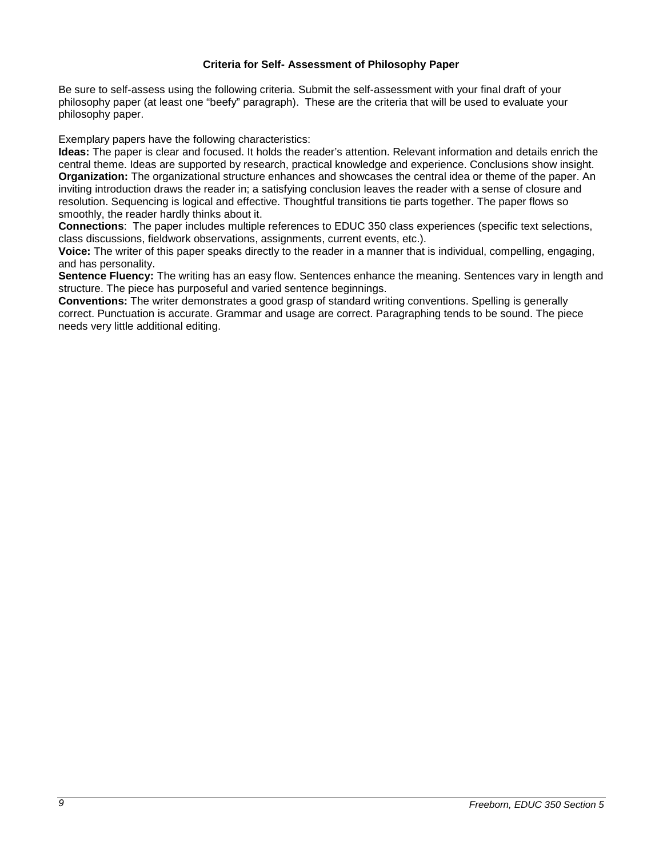## **Criteria for Self- Assessment of Philosophy Paper**

Be sure to self-assess using the following criteria. Submit the self-assessment with your final draft of your philosophy paper (at least one "beefy" paragraph). These are the criteria that will be used to evaluate your philosophy paper.

Exemplary papers have the following characteristics:

**Ideas:** The paper is clear and focused. It holds the reader's attention. Relevant information and details enrich the central theme. Ideas are supported by research, practical knowledge and experience. Conclusions show insight. **Organization:** The organizational structure enhances and showcases the central idea or theme of the paper. An inviting introduction draws the reader in; a satisfying conclusion leaves the reader with a sense of closure and resolution. Sequencing is logical and effective. Thoughtful transitions tie parts together. The paper flows so smoothly, the reader hardly thinks about it.

**Connections**: The paper includes multiple references to EDUC 350 class experiences (specific text selections, class discussions, fieldwork observations, assignments, current events, etc.).

**Voice:** The writer of this paper speaks directly to the reader in a manner that is individual, compelling, engaging, and has personality.

**Sentence Fluency:** The writing has an easy flow. Sentences enhance the meaning. Sentences vary in length and structure. The piece has purposeful and varied sentence beginnings.

**Conventions:** The writer demonstrates a good grasp of standard writing conventions. Spelling is generally correct. Punctuation is accurate. Grammar and usage are correct. Paragraphing tends to be sound. The piece needs very little additional editing.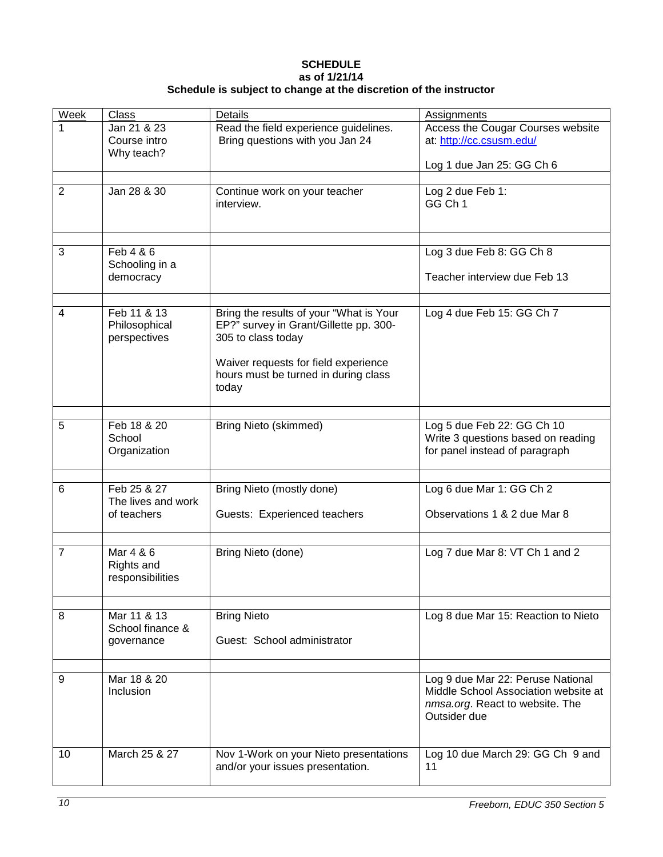## **SCHEDULE as of 1/21/14 Schedule is subject to change at the discretion of the instructor**

| Week           | Class                                         | Details                                                                                                                                                                                          | <b>Assignments</b>                                                                                                           |
|----------------|-----------------------------------------------|--------------------------------------------------------------------------------------------------------------------------------------------------------------------------------------------------|------------------------------------------------------------------------------------------------------------------------------|
| 1              | Jan 21 & 23<br>Course intro<br>Why teach?     | Read the field experience guidelines.<br>Bring questions with you Jan 24                                                                                                                         | Access the Cougar Courses website<br>at: http://cc.csusm.edu/                                                                |
|                |                                               |                                                                                                                                                                                                  | Log 1 due Jan 25: GG Ch 6                                                                                                    |
| 2              | Jan 28 & 30                                   | Continue work on your teacher<br>interview.                                                                                                                                                      | Log 2 due Feb 1:<br>GG Ch 1                                                                                                  |
| 3              | Feb 4 & 6                                     |                                                                                                                                                                                                  | Log 3 due Feb 8: GG Ch 8                                                                                                     |
|                | Schooling in a<br>democracy                   |                                                                                                                                                                                                  | Teacher interview due Feb 13                                                                                                 |
|                |                                               |                                                                                                                                                                                                  |                                                                                                                              |
| 4              | Feb 11 & 13<br>Philosophical<br>perspectives  | Bring the results of your "What is Your<br>EP?" survey in Grant/Gillette pp. 300-<br>305 to class today<br>Waiver requests for field experience<br>hours must be turned in during class<br>today | Log 4 due Feb 15: GG Ch 7                                                                                                    |
| 5              | Feb 18 & 20                                   |                                                                                                                                                                                                  |                                                                                                                              |
|                | School<br>Organization                        | <b>Bring Nieto (skimmed)</b>                                                                                                                                                                     | Log 5 due Feb 22: GG Ch 10<br>Write 3 questions based on reading<br>for panel instead of paragraph                           |
| 6              | Feb 25 & 27                                   | Bring Nieto (mostly done)                                                                                                                                                                        | Log 6 due Mar 1: GG Ch 2                                                                                                     |
|                | The lives and work<br>of teachers             | Guests: Experienced teachers                                                                                                                                                                     | Observations 1 & 2 due Mar 8                                                                                                 |
|                |                                               |                                                                                                                                                                                                  |                                                                                                                              |
| $\overline{7}$ | Mar 4 & 6<br>Rights and<br>responsibilities   | Bring Nieto (done)                                                                                                                                                                               | Log 7 due Mar 8: VT Ch 1 and 2                                                                                               |
|                |                                               |                                                                                                                                                                                                  |                                                                                                                              |
| 8              | Mar 11 & 13<br>School finance &<br>governance | <b>Bring Nieto</b><br>Guest: School administrator                                                                                                                                                | Log 8 due Mar 15: Reaction to Nieto                                                                                          |
|                |                                               |                                                                                                                                                                                                  |                                                                                                                              |
| 9              | Mar 18 & 20<br>Inclusion                      |                                                                                                                                                                                                  | Log 9 due Mar 22: Peruse National<br>Middle School Association website at<br>nmsa.org. React to website. The<br>Outsider due |
| 10             | March 25 & 27                                 | Nov 1-Work on your Nieto presentations<br>and/or your issues presentation.                                                                                                                       | Log 10 due March 29: GG Ch 9 and<br>11                                                                                       |